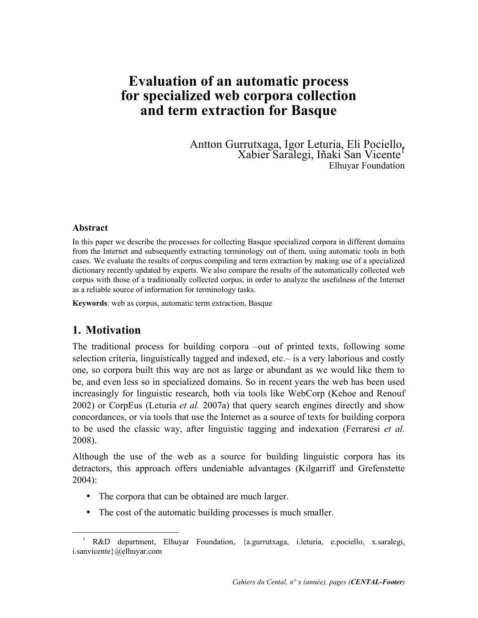# **Evaluation of an automatic process for specialized web corpora collection and term extraction for Basque**

Antton Gurrutxaga, Igor Leturia, Eli Pociello, Xabier Saralegi, Iñaki San Vicente<sup>1</sup> Elhuyar Foundation

#### **Abstract**

In this paper we describe the processes for collecting Basque specialized corpora in different domains from the Internet and subsequently extracting terminology out of them, using automatic tools in both cases. We evaluate the results of corpus compiling and term extraction by making use of a specialized dictionary recently updated by experts. We also compare the results of the automatically collected web corpus with those of a traditionally collected corpus, in order to analyze the usefulness of the Internet as a reliable source of information for terminology tasks.

**Keywords**: web as corpus, automatic term extraction, Basque

### **1. Motivation**

 $\ddot{\phantom{a}}$ 

The traditional process for building corpora –out of printed texts, following some selection criteria, linguistically tagged and indexed, etc.– is a very laborious and costly one, so corpora built this way are not as large or abundant as we would like them to be, and even less so in specialized domains. So in recent years the web has been used increasingly for linguistic research, both via tools like WebCorp (Kehoe and Renouf 2002) or CorpEus (Leturia *et al.* 2007a) that query search engines directly and show concordances, or via tools that use the Internet as a source of texts for building corpora to be used the classic way, after linguistic tagging and indexation (Ferraresi *et al.* 2008).

Although the use of the web as a source for building linguistic corpora has its detractors, this approach offers undeniable advantages (Kilgarriff and Grefenstette 2004):

- The corpora that can be obtained are much larger.
- The cost of the automatic building processes is much smaller.

<sup>&</sup>lt;sup>1</sup> R&D department, Elhuyar Foundation, {a.gurrutxaga, i.leturia, e.pociello, x.saralegi, i.sanvicente}@elhuyar.com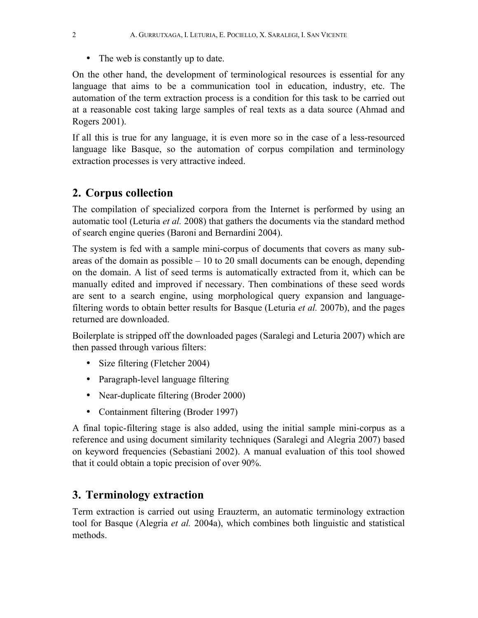• The web is constantly up to date.

On the other hand, the development of terminological resources is essential for any language that aims to be a communication tool in education, industry, etc. The automation of the term extraction process is a condition for this task to be carried out at a reasonable cost taking large samples of real texts as a data source (Ahmad and Rogers 2001).

If all this is true for any language, it is even more so in the case of a less-resourced language like Basque, so the automation of corpus compilation and terminology extraction processes is very attractive indeed.

## **2. Corpus collection**

The compilation of specialized corpora from the Internet is performed by using an automatic tool (Leturia *et al.* 2008) that gathers the documents via the standard method of search engine queries (Baroni and Bernardini 2004).

The system is fed with a sample mini-corpus of documents that covers as many subareas of the domain as possible  $-10$  to 20 small documents can be enough, depending on the domain. A list of seed terms is automatically extracted from it, which can be manually edited and improved if necessary. Then combinations of these seed words are sent to a search engine, using morphological query expansion and languagefiltering words to obtain better results for Basque (Leturia *et al.* 2007b), and the pages returned are downloaded.

Boilerplate is stripped off the downloaded pages (Saralegi and Leturia 2007) which are then passed through various filters:

- Size filtering (Fletcher 2004)
- Paragraph-level language filtering
- Near-duplicate filtering (Broder 2000)
- Containment filtering (Broder 1997)

A final topic-filtering stage is also added, using the initial sample mini-corpus as a reference and using document similarity techniques (Saralegi and Alegria 2007) based on keyword frequencies (Sebastiani 2002). A manual evaluation of this tool showed that it could obtain a topic precision of over 90%.

## **3. Terminology extraction**

Term extraction is carried out using Erauzterm, an automatic terminology extraction tool for Basque (Alegria *et al.* 2004a), which combines both linguistic and statistical methods.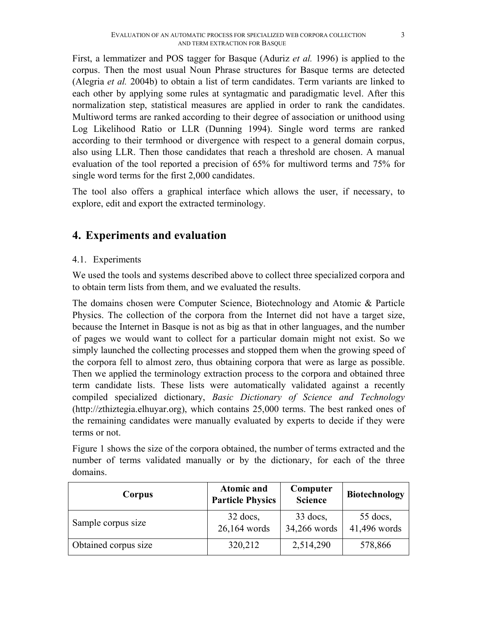First, a lemmatizer and POS tagger for Basque (Aduriz *et al.* 1996) is applied to the corpus. Then the most usual Noun Phrase structures for Basque terms are detected (Alegria *et al.* 2004b) to obtain a list of term candidates. Term variants are linked to each other by applying some rules at syntagmatic and paradigmatic level. After this normalization step, statistical measures are applied in order to rank the candidates. Multiword terms are ranked according to their degree of association or unithood using Log Likelihood Ratio or LLR (Dunning 1994). Single word terms are ranked according to their termhood or divergence with respect to a general domain corpus, also using LLR. Then those candidates that reach a threshold are chosen. A manual evaluation of the tool reported a precision of 65% for multiword terms and 75% for single word terms for the first 2,000 candidates.

The tool also offers a graphical interface which allows the user, if necessary, to explore, edit and export the extracted terminology.

## **4. Experiments and evaluation**

#### 4.1. Experiments

We used the tools and systems described above to collect three specialized corpora and to obtain term lists from them, and we evaluated the results.

The domains chosen were Computer Science, Biotechnology and Atomic & Particle Physics. The collection of the corpora from the Internet did not have a target size, because the Internet in Basque is not as big as that in other languages, and the number of pages we would want to collect for a particular domain might not exist. So we simply launched the collecting processes and stopped them when the growing speed of the corpora fell to almost zero, thus obtaining corpora that were as large as possible. Then we applied the terminology extraction process to the corpora and obtained three term candidate lists. These lists were automatically validated against a recently compiled specialized dictionary, *Basic Dictionary of Science and Technology* (http://zthiztegia.elhuyar.org), which contains 25,000 terms. The best ranked ones of the remaining candidates were manually evaluated by experts to decide if they were terms or not.

Figure 1 shows the size of the corpora obtained, the number of terms extracted and the number of terms validated manually or by the dictionary, for each of the three domains.

| Corpus               | <b>Atomic and</b><br><b>Particle Physics</b> | Computer<br><b>Science</b> | <b>Biotechnology</b>       |
|----------------------|----------------------------------------------|----------------------------|----------------------------|
| Sample corpus size   | $32$ docs,<br>26,164 words                   | $33$ docs,<br>34,266 words | $55$ docs,<br>41,496 words |
| Obtained corpus size | 320,212                                      | 2,514,290                  | 578,866                    |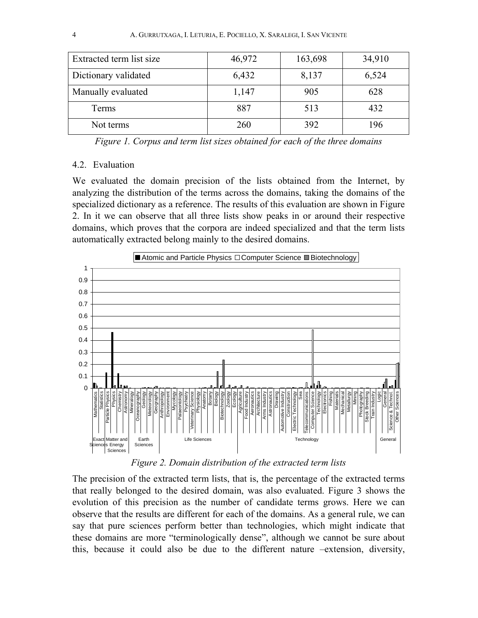| Extracted term list size | 46,972 | 163,698 | 34,910 |
|--------------------------|--------|---------|--------|
| Dictionary validated     | 6,432  | 8,137   | 6,524  |
| Manually evaluated       | 1,147  | 905     | 628    |
| Terms                    | 887    | 513     | 432    |
| Not terms                | 260    | 392     | 196    |

*Figure 1. Corpus and term list sizes obtained for each of the three domains* 

#### 4.2. Evaluation

We evaluated the domain precision of the lists obtained from the Internet, by analyzing the distribution of the terms across the domains, taking the domains of the specialized dictionary as a reference. The results of this evaluation are shown in Figure 2. In it we can observe that all three lists show peaks in or around their respective domains, which proves that the corpora are indeed specialized and that the term lists automatically extracted belong mainly to the desired domains.



*Figure 2. Domain distribution of the extracted term lists* 

The precision of the extracted term lists, that is, the percentage of the extracted terms that really belonged to the desired domain, was also evaluated. Figure 3 shows the evolution of this precision as the number of candidate terms grows. Here we can observe that the results are different for each of the domains. As a general rule, we can say that pure sciences perform better than technologies, which might indicate that these domains are more "terminologically dense", although we cannot be sure about this, because it could also be due to the different nature –extension, diversity,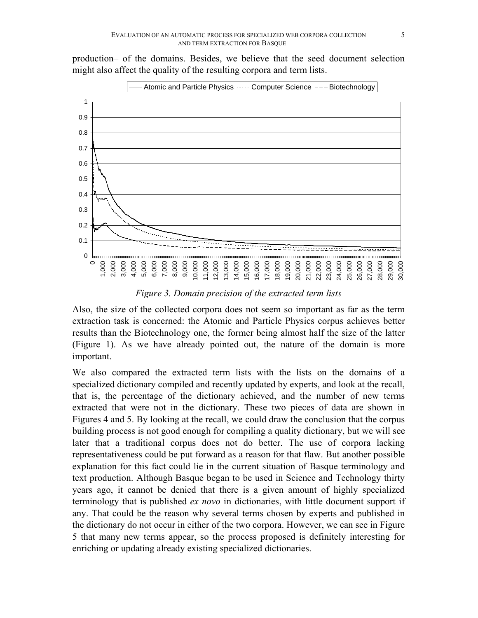production– of the domains. Besides, we believe that the seed document selection might also affect the quality of the resulting corpora and term lists.



*Figure 3. Domain precision of the extracted term lists* 

Also, the size of the collected corpora does not seem so important as far as the term extraction task is concerned: the Atomic and Particle Physics corpus achieves better results than the Biotechnology one, the former being almost half the size of the latter (Figure 1). As we have already pointed out, the nature of the domain is more important.

We also compared the extracted term lists with the lists on the domains of a specialized dictionary compiled and recently updated by experts, and look at the recall, that is, the percentage of the dictionary achieved, and the number of new terms extracted that were not in the dictionary. These two pieces of data are shown in Figures 4 and 5. By looking at the recall, we could draw the conclusion that the corpus building process is not good enough for compiling a quality dictionary, but we will see later that a traditional corpus does not do better. The use of corpora lacking representativeness could be put forward as a reason for that flaw. But another possible explanation for this fact could lie in the current situation of Basque terminology and text production. Although Basque began to be used in Science and Technology thirty years ago, it cannot be denied that there is a given amount of highly specialized terminology that is published *ex novo* in dictionaries, with little document support if any. That could be the reason why several terms chosen by experts and published in the dictionary do not occur in either of the two corpora. However, we can see in Figure 5 that many new terms appear, so the process proposed is definitely interesting for enriching or updating already existing specialized dictionaries.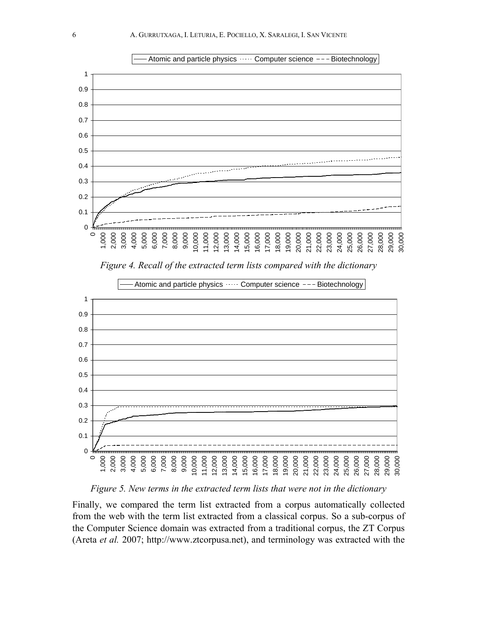

*Figure 4. Recall of the extracted term lists compared with the dictionary* 



Atomic and particle physics  $\cdots$  Computer science  $--$  Biotechnology

*Figure 5. New terms in the extracted term lists that were not in the dictionary* 

Finally, we compared the term list extracted from a corpus automatically collected from the web with the term list extracted from a classical corpus. So a sub-corpus of the Computer Science domain was extracted from a traditional corpus, the ZT Corpus (Areta *et al.* 2007; http://www.ztcorpusa.net), and terminology was extracted with the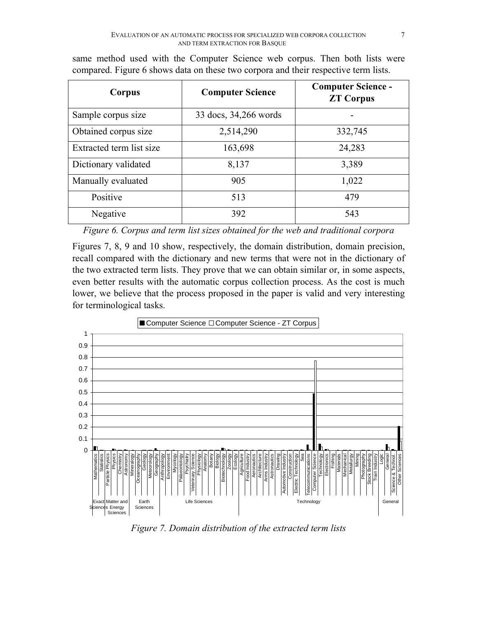| Corpus                   | <b>Computer Science</b> | <b>Computer Science -</b><br><b>ZT Corpus</b> |
|--------------------------|-------------------------|-----------------------------------------------|
| Sample corpus size       | 33 docs, 34,266 words   |                                               |
| Obtained corpus size     | 2,514,290               | 332,745                                       |
| Extracted term list size | 163,698                 | 24,283                                        |
| Dictionary validated     | 8,137                   | 3,389                                         |
| Manually evaluated       | 905                     | 1,022                                         |
| Positive                 | 513                     | 479                                           |
| Negative                 | 392                     | 543                                           |

same method used with the Computer Science web corpus. Then both lists were compared. Figure 6 shows data on these two corpora and their respective term lists.

*Figure 6. Corpus and term list sizes obtained for the web and traditional corpora* 

Figures 7, 8, 9 and 10 show, respectively, the domain distribution, domain precision, recall compared with the dictionary and new terms that were not in the dictionary of the two extracted term lists. They prove that we can obtain similar or, in some aspects, even better results with the automatic corpus collection process. As the cost is much lower, we believe that the process proposed in the paper is valid and very interesting for terminological tasks.



*Figure 7. Domain distribution of the extracted term lists*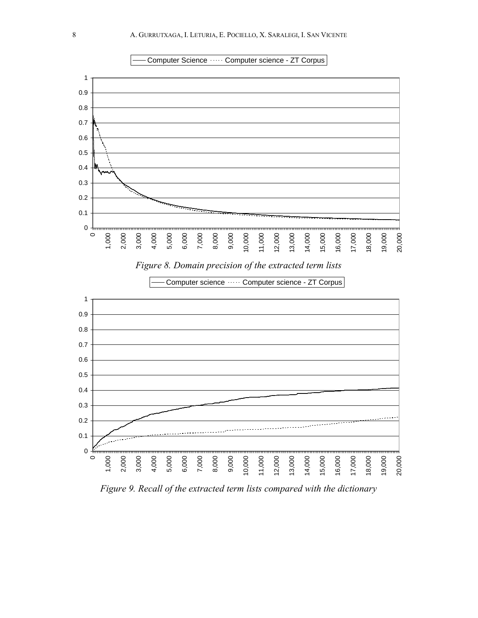



*Figure 9. Recall of the extracted term lists compared with the dictionary*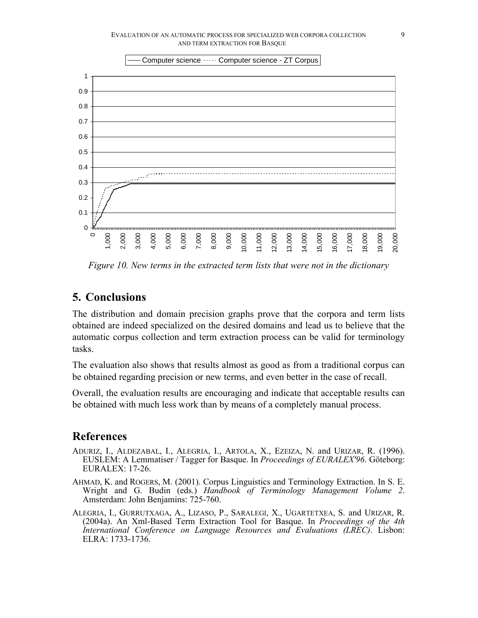

*Figure 10. New terms in the extracted term lists that were not in the dictionary* 

### **5. Conclusions**

The distribution and domain precision graphs prove that the corpora and term lists obtained are indeed specialized on the desired domains and lead us to believe that the automatic corpus collection and term extraction process can be valid for terminology tasks.

The evaluation also shows that results almost as good as from a traditional corpus can be obtained regarding precision or new terms, and even better in the case of recall.

Overall, the evaluation results are encouraging and indicate that acceptable results can be obtained with much less work than by means of a completely manual process.

### **References**

- ADURIZ, I., ALDEZABAL, I., ALEGRIA, I., ARTOLA, X., EZEIZA, N. and URIZAR, R. (1996). EUSLEM: A Lemmatiser / Tagger for Basque. In *Proceedings of EURALEX'96*. Göteborg: EURALEX: 17-26.
- AHMAD, K. and ROGERS, M. (2001). Corpus Linguistics and Terminology Extraction. In S. E. Wright and G. Budin (eds.) *Handbook of Terminology Management Volume 2*. Amsterdam: John Benjamins: 725-760.
- ALEGRIA, I., GURRUTXAGA, A., LIZASO, P., SARALEGI, X., UGARTETXEA, S. and URIZAR, R. (2004a). An Xml-Based Term Extraction Tool for Basque. In *Proceedings of the 4th International Conference on Language Resources and Evaluations (LREC)*. Lisbon: ELRA: 1733-1736.